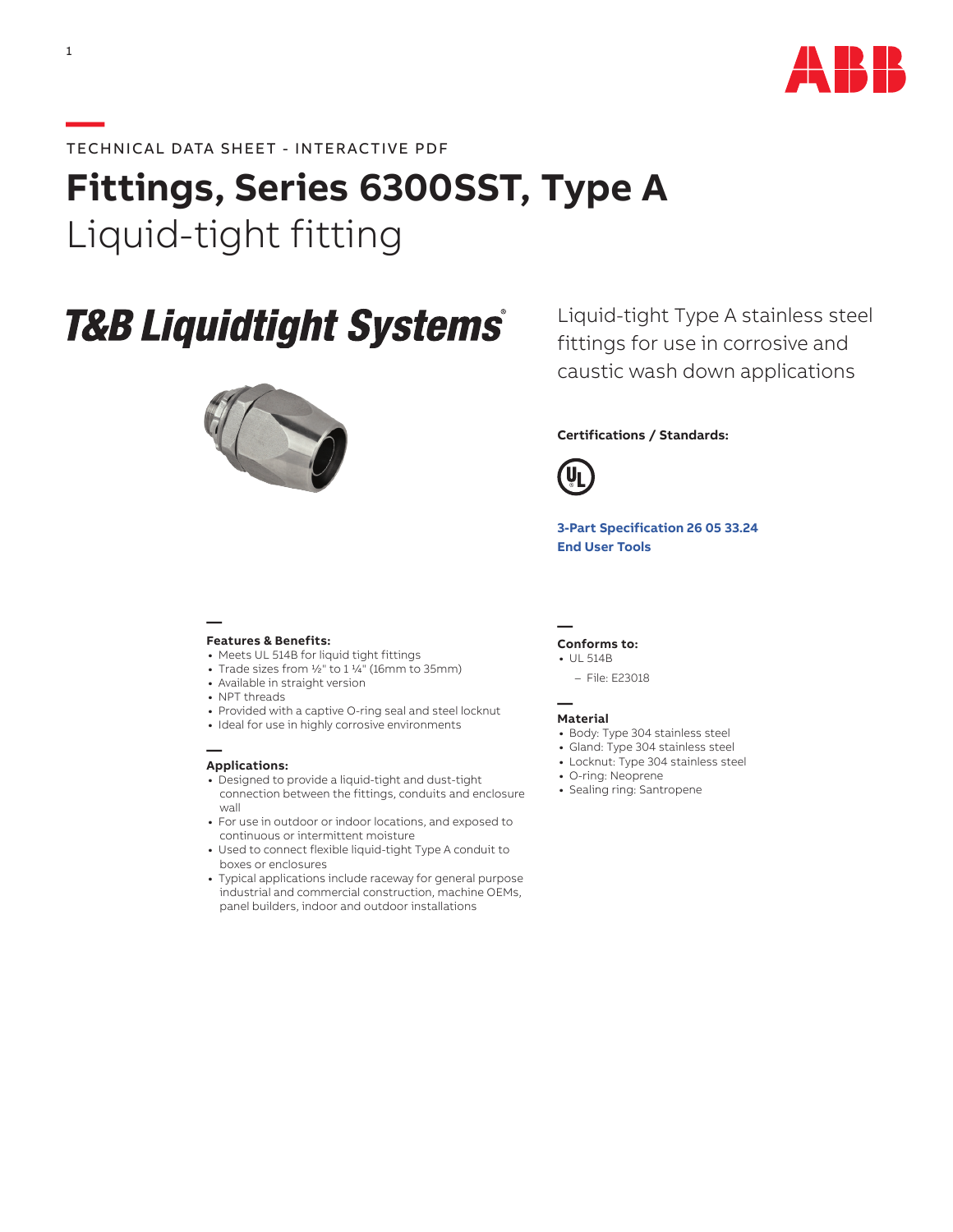

# **Fittings, Series 6300SST, Type A**  Liquid-tight fitting

# **T&B Liquidtight Systems®**



Liquid-tight Type A stainless steel fittings for use in corrosive and caustic wash down applications

## **Certifications / Standards:**



**[3-Part Specification](http://www-public.tnb.com/ps/pubint/specguide.cgi) 26 05 33.24 [End User Tools](http://tnb.abb.com/pub/en/node/258)**

### **— Features & Benefits:**

- **•** Meets UL 514B for liquid tight fittings
- **•** Trade sizes from 1/2" to 1 1/4" (16mm to 35mm)
- **•** Available in straight version
- **•** NPT threads
- **•** Provided with a captive O-ring seal and steel locknut
- **•** Ideal for use in highly corrosive environments

#### **— Applications:**

- **•** Designed to provide a liquid-tight and dust-tight connection between the fittings, conduits and enclosure wall
- **•** For use in outdoor or indoor locations, and exposed to continuous or intermittent moisture
- **•** Used to connect flexible liquid-tight Type A conduit to boxes or enclosures
- **•** Typical applications include raceway for general purpose industrial and commercial construction, machine OEMs, panel builders, indoor and outdoor installations

**— Conforms to:**

- **•** UL 514B
	- File: E23018

#### **— Material**

- **•** Body: Type 304 stainless steel
- **•** Gland: Type 304 stainless steel
- **•** Locknut: Type 304 stainless steel
- **•** O-ring: Neoprene
- **•** Sealing ring: Santropene